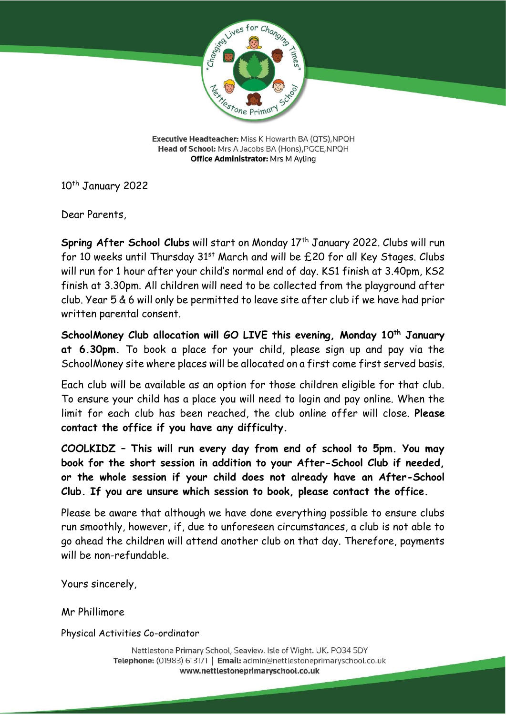

Executive Headteacher: Miss K Howarth BA (QTS), NPQH Head of School: Mrs A Jacobs BA (Hons), PGCE, NPQH **Office Administrator: Mrs M Ayling** 

10<sup>th</sup> January 2022

Dear Parents,

**Spring After School Clubs** will start on Monday 17<sup>th</sup> January 2022. Clubs will run for 10 weeks until Thursday 31<sup>st</sup> March and will be £20 for all Key Stages. Clubs will run for 1 hour after your child's normal end of day. KS1 finish at 3.40pm, KS2 finish at 3.30pm. All children will need to be collected from the playground after club. Year 5 & 6 will only be permitted to leave site after club if we have had prior written parental consent.

**SchoolMoney Club allocation will GO LIVE this evening, Monday 10th January at 6.30pm.** To book a place for your child, please sign up and pay via the SchoolMoney site where places will be allocated on a first come first served basis.

Each club will be available as an option for those children eligible for that club. To ensure your child has a place you will need to login and pay online. When the limit for each club has been reached, the club online offer will close. **Please contact the office if you have any difficulty.**

**COOLKIDZ – This will run every day from end of school to 5pm. You may book for the short session in addition to your After-School Club if needed, or the whole session if your child does not already have an After-School Club. If you are unsure which session to book, please contact the office.** 

Please be aware that although we have done everything possible to ensure clubs run smoothly, however, if, due to unforeseen circumstances, a club is not able to go ahead the children will attend another club on that day. Therefore, payments will be non-refundable.

Yours sincerely,

Mr Phillimore

Physical Activities Co-ordinator

Nettlestone Primary School, Seaview. Isle of Wight. UK. PO34 5DY Telephone: (01983) 613171 | Email: admin@nettlestoneprimaryschool.co.uk www.nettlestoneprimaryschool.co.uk